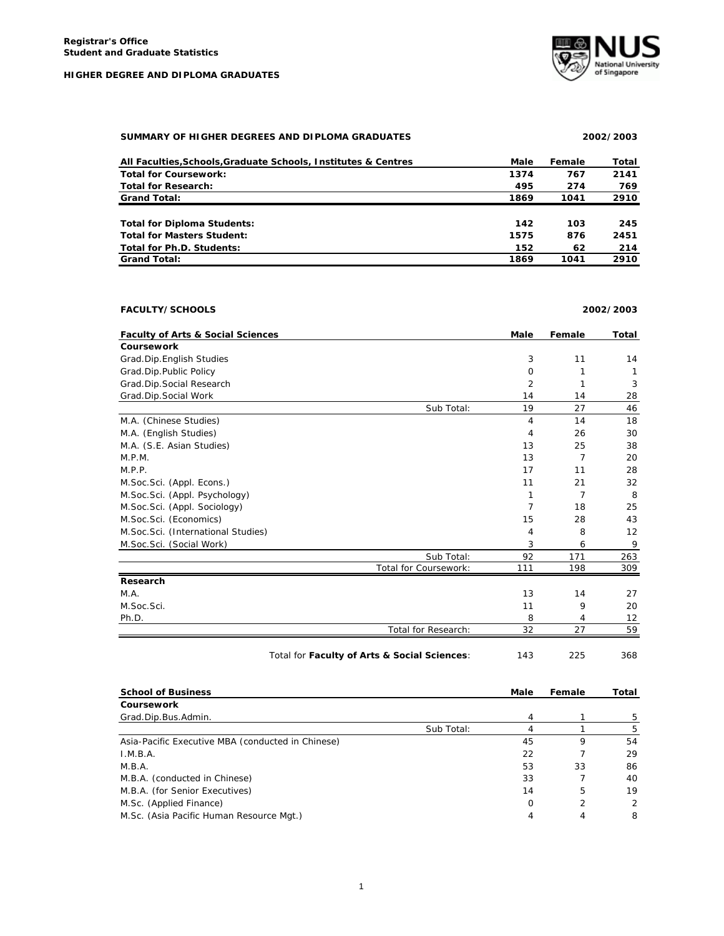

## **SUMMARY OF HIGHER DEGREES AND DIPLOMA GRADUATES 2002/2003**

# **All Faculties,Schools,Graduate Schools, Institutes & Centres Male Female Total Total for Coursework: 1374 767 2141 Total for Research: 495 274 769**

| <b>Grand Total:</b>                | 1869 | 1041 | 2910 |
|------------------------------------|------|------|------|
|                                    |      |      |      |
| <b>Total for Diploma Students:</b> | 142  | 103  | 245  |
| <b>Total for Masters Student:</b>  | 1575 | 876  | 2451 |
| Total for Ph.D. Students:          | 152  | 62   | 214  |
| <b>Grand Total:</b>                | 1869 | 1041 | 2910 |

# **FACULTY/SCHOOLS 2002/2003**

| <b>Faculty of Arts &amp; Social Sciences</b> |                       | <b>Male</b>    | Female | Total |
|----------------------------------------------|-----------------------|----------------|--------|-------|
| <b>Coursework</b>                            |                       |                |        |       |
| Grad.Dip.English Studies                     |                       | 3              | 11     | 14    |
| Grad.Dip.Public Policy                       |                       | $\Omega$       |        |       |
| Grad.Dip.Social Research                     |                       | $\overline{2}$ |        | 3     |
| Grad.Dip.Social Work                         |                       | 14             | 14     | 28    |
|                                              | Sub Total:            | 19             | 27     | 46    |
| M.A. (Chinese Studies)                       |                       | 4              | 14     | 18    |
| M.A. (English Studies)                       |                       | 4              | 26     | 30    |
| M.A. (S.E. Asian Studies)                    |                       | 13             | 25     | 38    |
| M.P.M.                                       |                       | 13             | 7      | 20    |
| M.P.P.                                       |                       | 17             | 11     | 28    |
| M.Soc.Sci. (Appl. Econs.)                    |                       | 11             | 21     | 32    |
| M.Soc.Sci. (Appl. Psychology)                |                       | 1              | 7      | 8     |
| M.Soc.Sci. (Appl. Sociology)                 |                       | 7              | 18     | 25    |
| M.Soc.Sci. (Economics)                       |                       | 15             | 28     | 43    |
| M.Soc.Sci. (International Studies)           |                       | 4              | 8      | 12    |
| M.Soc.Sci. (Social Work)                     |                       | 3              | 6      | 9     |
|                                              | Sub Total:            | 92             | 171    | 263   |
|                                              | Total for Coursework: | 111            | 198    | 309   |
| Research                                     |                       |                |        |       |
| M.A.                                         |                       | 13             | 14     | 27    |
| M.Soc.Sci.                                   |                       | 11             | 9      | 20    |
| Ph.D.                                        |                       | 8              | 4      | 12    |
|                                              | Total for Research:   | 32             | 27     | 59    |

Total for **Faculty of Arts & Social Sciences**: 143 225 368

| <b>School of Business</b> | Male | Female | otal |
|---------------------------|------|--------|------|

| Coursework                                        |            |    |    |    |
|---------------------------------------------------|------------|----|----|----|
| Grad.Dip.Bus.Admin.                               |            |    |    |    |
|                                                   | Sub Total: |    |    | 5  |
| Asia-Pacific Executive MBA (conducted in Chinese) |            | 45 |    | 54 |
| I.M.B.A.                                          |            | 22 |    | 29 |
| M.B.A.                                            |            | 53 | 33 | 86 |
| M.B.A. (conducted in Chinese)                     |            | 33 |    | 40 |
| M.B.A. (for Senior Executives)                    |            | 14 | 5  | 19 |
| M.Sc. (Applied Finance)                           |            | Ω  |    | 2  |
| M.Sc. (Asia Pacific Human Resource Mgt.)          |            |    |    | 8  |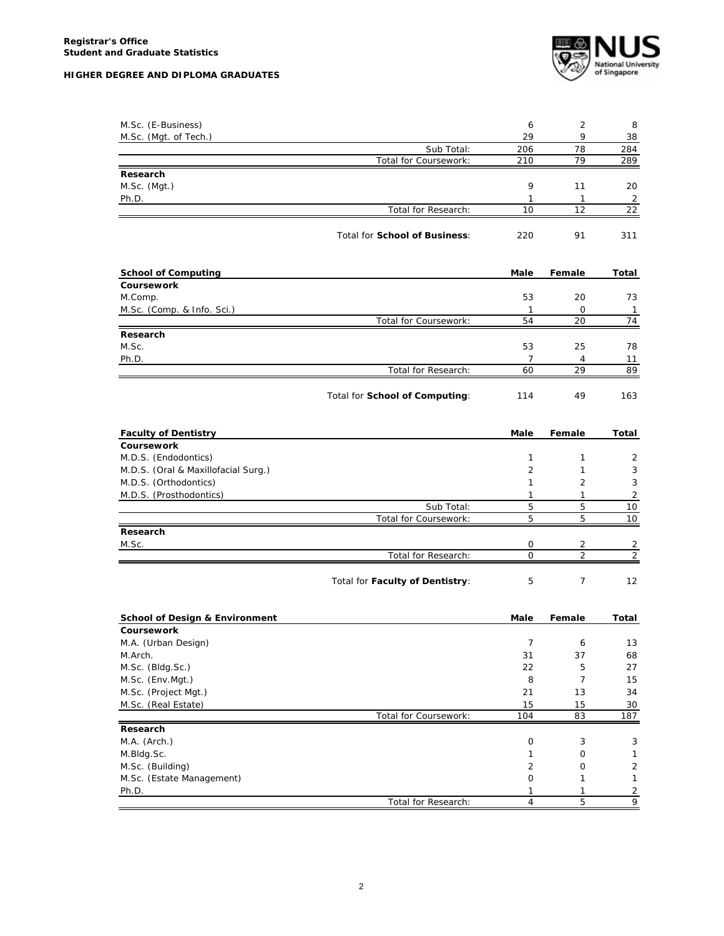

| M.Sc. (E-Business)                        |                                 | 6                 | 2                    | 8                                |
|-------------------------------------------|---------------------------------|-------------------|----------------------|----------------------------------|
| M.Sc. (Mgt. of Tech.)                     |                                 | 29                | 9                    | 38                               |
|                                           | Sub Total:                      | 206               | 78                   | 284                              |
|                                           | Total for Coursework:           | 210               | 79                   | 289                              |
| Research                                  |                                 |                   |                      |                                  |
| M.Sc. (Mgt.)                              |                                 | 9                 | 11                   | 20                               |
| Ph.D.                                     |                                 | 1                 | $\mathbf{1}$         | $\overline{2}$                   |
|                                           | Total for Research:             | 10                | 12                   | $\overline{22}$                  |
|                                           | Total for School of Business:   | 220               | 91                   | 311                              |
| <b>School of Computing</b>                |                                 | Male              | Female               | Total                            |
| Coursework                                |                                 |                   |                      |                                  |
| M.Comp.                                   |                                 | 53                | 20                   | 73                               |
| M.Sc. (Comp. & Info. Sci.)                |                                 | $\mathbf{1}$      | 0                    | $\overline{1}$                   |
|                                           | Total for Coursework:           | 54                | 20                   | 74                               |
| Research                                  |                                 |                   |                      |                                  |
| M.Sc.                                     |                                 | 53                | 25                   | 78                               |
| Ph.D.                                     |                                 | 7                 | 4                    | 11                               |
|                                           | Total for Research:             | 60                | 29                   | 89                               |
|                                           | Total for School of Computing:  | 114               | 49                   | 163                              |
| <b>Faculty of Dentistry</b>               |                                 | Male              | Female               | Total                            |
| Coursework                                |                                 |                   |                      |                                  |
| M.D.S. (Endodontics)                      |                                 | 1                 | $\mathbf{1}$         | 2                                |
| M.D.S. (Oral & Maxillofacial Surg.)       |                                 | 2                 | 1                    | 3                                |
| M.D.S. (Orthodontics)                     |                                 | 1                 | 2                    | 3                                |
| M.D.S. (Prosthodontics)                   |                                 | $\mathbf{1}$      | $\mathbf{1}$         | $\overline{2}$                   |
|                                           | Sub Total:                      | 5                 | 5                    | 10                               |
|                                           | Total for Coursework:           | 5                 | 5                    | 10                               |
| Research                                  |                                 |                   |                      |                                  |
| M.Sc.                                     | Total for Research:             | 0<br>$\mathsf{O}$ | 2<br>$\overline{2}$  | $\overline{2}$<br>$\overline{2}$ |
|                                           |                                 |                   |                      |                                  |
|                                           | Total for Faculty of Dentistry: | 5                 | 7                    | 12                               |
| <b>School of Design &amp; Environment</b> |                                 | Male              | Female               | Total                            |
| Coursework                                |                                 |                   |                      |                                  |
| M.A. (Urban Design)                       |                                 | 7                 | 6                    | 13                               |
| M.Arch.                                   |                                 | 31                | 37                   | 68                               |
| M.Sc. (Bldg.Sc.)                          |                                 | 22                | 5                    | 27                               |
| M.Sc. (Env.Mgt.)                          |                                 | 8                 | $\overline{7}$<br>13 | 15<br>34                         |
| M.Sc. (Project Mgt.)                      |                                 | 21<br>15          | 15                   | 30                               |
| M.Sc. (Real Estate)                       | Total for Coursework:           | 104               | 83                   | 187                              |
| Research                                  |                                 |                   |                      |                                  |
| M.A. (Arch.)                              |                                 | 0                 | 3                    | 3                                |
| M.Bldg.Sc.                                |                                 | 1                 | 0                    | 1                                |
| M.Sc. (Building)                          |                                 | $\overline{2}$    | 0                    | $\sqrt{2}$                       |
| M.Sc. (Estate Management)                 |                                 | 0                 | 1                    | 1                                |
| Ph.D.                                     |                                 | 1                 | 1                    | $\overline{2}$                   |
|                                           | Total for Research:             | 4                 | 5                    | 9                                |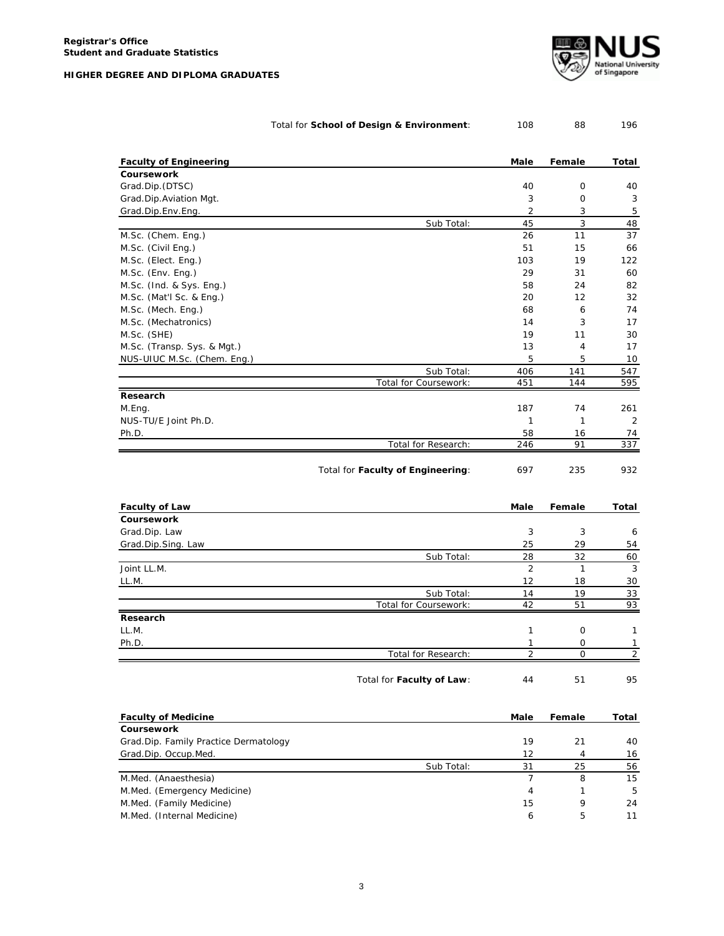|  |  |  | HIGHER DEGREE AND DIPLOMA GRADUATES |  |
|--|--|--|-------------------------------------|--|
|  |  |  |                                     |  |



|                                       | Total for School of Design & Environment: | 108            | 88             | 196   |
|---------------------------------------|-------------------------------------------|----------------|----------------|-------|
| <b>Faculty of Engineering</b>         |                                           | Male           | Female         | Total |
| Coursework                            |                                           |                |                |       |
| Grad.Dip. (DTSC)                      |                                           | 40             | 0              | 40    |
| Grad.Dip.Aviation Mgt.                |                                           | 3              | 0              | 3     |
| Grad.Dip.Env.Eng.                     |                                           | 2              | 3              | 5     |
|                                       | Sub Total:                                | 45             | 3              | 48    |
| M.Sc. (Chem. Eng.)                    |                                           | 26             | 11             | 37    |
| M.Sc. (Civil Eng.)                    |                                           | 51             | 15             | 66    |
| M.Sc. (Elect. Eng.)                   |                                           | 103            | 19             | 122   |
| M.Sc. (Env. Eng.)                     |                                           | 29             | 31             | 60    |
| M.Sc. (Ind. & Sys. Eng.)              |                                           | 58             | 24             | 82    |
| M.Sc. (Mat'l Sc. & Eng.)              |                                           | 20             | 12             | 32    |
| M.Sc. (Mech. Eng.)                    |                                           | 68             | 6              | 74    |
| M.Sc. (Mechatronics)                  |                                           | 14             | 3              | 17    |
| M.Sc. (SHE)                           |                                           | 19             | 11             | 30    |
| M.Sc. (Transp. Sys. & Mgt.)           |                                           | 13             | $\overline{4}$ | 17    |
| NUS-UIUC M.Sc. (Chem. Eng.)           |                                           | 5              | 5              | 10    |
|                                       | Sub Total:                                | 406            | 141            | 547   |
|                                       | Total for Coursework:                     | 451            | 144            | 595   |
| Research                              |                                           |                |                |       |
| M.Eng.                                |                                           | 187            | 74             | 261   |
| NUS-TU/E Joint Ph.D.                  |                                           | 1              | 1              | 2     |
| Ph.D.                                 |                                           | 58             | 16             | 74    |
|                                       | Total for Research:                       | 246            | 91             | 337   |
|                                       | Total for Faculty of Engineering:         | 697            | 235            | 932   |
| <b>Faculty of Law</b>                 |                                           | Male           | Female         | Total |
| Coursework                            |                                           |                |                |       |
| Grad.Dip. Law                         |                                           | 3              | 3              | 6     |
| Grad.Dip.Sing. Law                    |                                           | 25             | 29             | 54    |
|                                       | Sub Total:                                | 28             | 32             | 60    |
| Joint LL.M.                           |                                           | $\overline{2}$ | $\mathbf{1}$   | 3     |
| LL.M.                                 |                                           | 12             | 18             | 30    |
|                                       | Sub Total:                                | 14             | 19             | 33    |
|                                       | Total for Coursework:                     | 42             | 51             | 93    |
| Research                              |                                           |                |                |       |
| LL.M.                                 |                                           | 1              | 0              | 1     |
| Ph.D.                                 |                                           | 1              | $\mathbf 0$    | 1     |
|                                       | Total for Research:                       | 2              | 0              | 2     |
|                                       | Total for Faculty of Law:                 | 44             | 51             | 95    |
| <b>Faculty of Medicine</b>            |                                           | Male           | Female         | Total |
| Coursework                            |                                           |                |                |       |
| Grad.Dip. Family Practice Dermatology |                                           | 19             | 21             | 40    |
| Grad.Dip. Occup.Med.                  |                                           | 12             | 4              | 16    |
|                                       | Sub Total:                                | 31             | 25             | 56    |
| M.Med. (Anaesthesia)                  |                                           | 7              | 8              | 15    |
| M.Med. (Emergency Medicine)           |                                           | 4              | 1              | 5     |
| M.Med. (Family Medicine)              |                                           | 15             | 9              | 24    |
| M.Med. (Internal Medicine)            |                                           | 6              | 5              | 11    |
|                                       |                                           |                |                |       |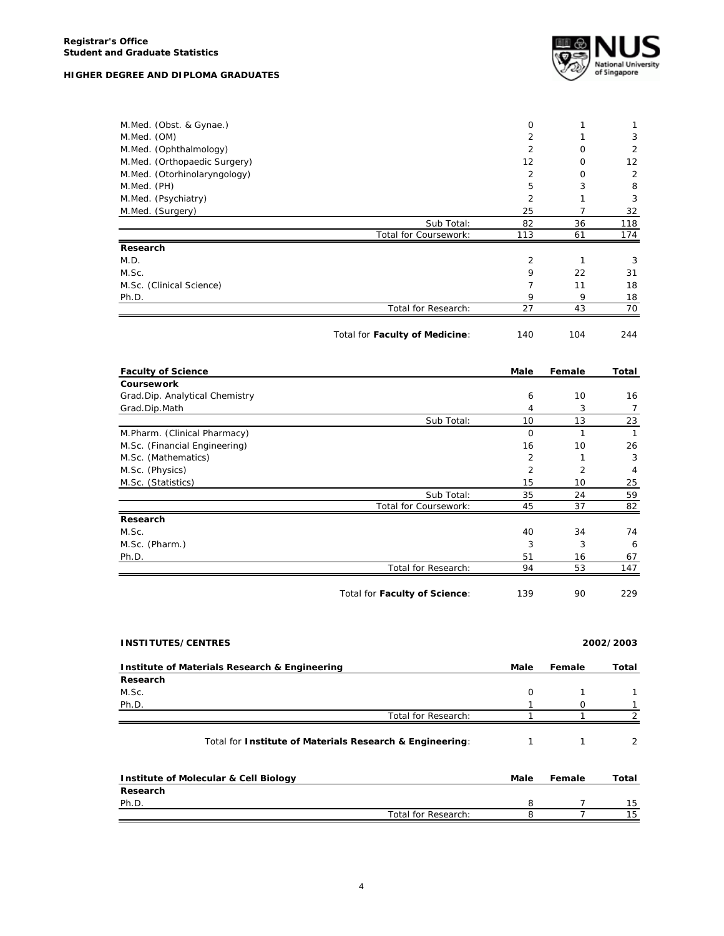

| M.Med. (OM)                    | 0              | 1              | $\mathbf{1}$   |
|--------------------------------|----------------|----------------|----------------|
|                                | $\overline{2}$ | 1              | 3              |
| M.Med. (Ophthalmology)         | 2              | $\Omega$       | 2              |
| M.Med. (Orthopaedic Surgery)   | 12             | 0              | 12             |
| M.Med. (Otorhinolaryngology)   | $\overline{2}$ | 0              | $\overline{2}$ |
| M.Med. (PH)                    | 5              | 3              | 8              |
| M.Med. (Psychiatry)            | 2              | 1              | 3              |
| M.Med. (Surgery)               | 25             | $\overline{7}$ | 32             |
| Sub Total:                     | 82             | 36             | 118            |
| Total for Coursework:          | 113            | 61             | 174            |
| Research                       |                |                |                |
| M.D.                           | 2              | 1              | 3              |
| M.Sc.                          | 9              | 22             | 31             |
| M.Sc. (Clinical Science)       | 7              | 11             | 18             |
| Ph.D.                          | 9              | 9              | 18             |
| Total for Research:            | 27             | 43             | 70             |
|                                |                |                |                |
| Total for Faculty of Medicine: | 140            | 104            | 244            |
| <b>Faculty of Science</b>      | Male           | Female         | Total          |
| Coursework                     |                |                |                |
| Grad.Dip. Analytical Chemistry | 6              | 10             | 16             |
| Grad.Dip.Math                  | 4              | 3              | $\overline{7}$ |
| Sub Total:                     | 10             | 13             | 23             |
| M.Pharm. (Clinical Pharmacy)   | $\mathbf 0$    | $\mathbf{1}$   | $\mathbf{1}$   |
| M.Sc. (Financial Engineering)  | 16             | 10             | 26             |
|                                | $\overline{2}$ |                |                |
| M.Sc. (Mathematics)            |                | 1              | 3              |
| M.Sc. (Physics)                | 2              | $\overline{2}$ | 4              |
| M.Sc. (Statistics)             | 15             | 10             | 25             |
| Sub Total:                     | 35             | 24             | 59             |
| Total for Coursework:          | 45             | 37             | 82             |
| Research                       |                |                |                |
| M.Sc.                          | 40             | 34             | 74             |
| M.Sc. (Pharm.)                 | 3              | 3              | 6              |
| Ph.D.                          | 51             | 16             | 67             |
| Total for Research:            | 94             | 53             | 147            |

| <b>INSTITUTES/CENTRES</b>                                |          |        | 2002/2003 |
|----------------------------------------------------------|----------|--------|-----------|
| Institute of Materials Research & Engineering            | Male     | Female | Total     |
| Research                                                 |          |        |           |
| M.Sc.                                                    | $\Omega$ |        |           |
| Ph.D.                                                    |          | Ω      |           |
| Total for Research:                                      |          |        |           |
| Total for Institute of Materials Research & Engineering: |          |        | 2         |
| Institute of Molecular & Cell Biology                    | Male     | Female | Total     |

| <b>INSTRUCT OF MOTECULAR &amp; CEIL DIVIOUS</b> |                     | ware | סוווטוס | . vuu |
|-------------------------------------------------|---------------------|------|---------|-------|
| Research                                        |                     |      |         |       |
| Ph.D.                                           |                     |      |         | 1 15  |
|                                                 | Total for Research: |      |         | 15    |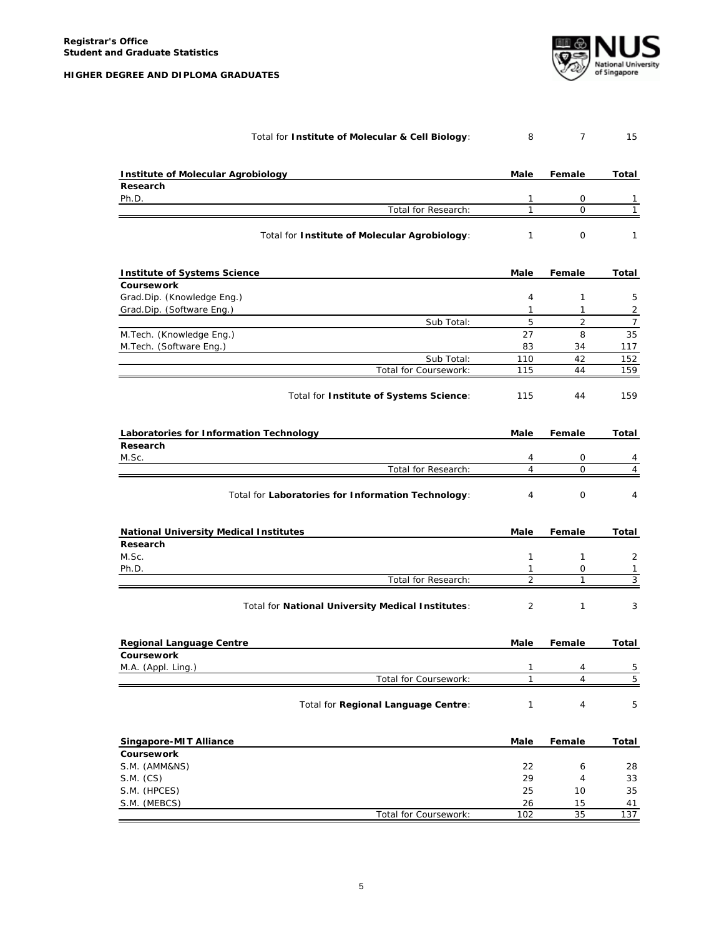

| Total for Institute of Molecular & Cell Biology:   | 8              | $\overline{7}$ | 15             |
|----------------------------------------------------|----------------|----------------|----------------|
| <b>Institute of Molecular Agrobiology</b>          | Male           | Female         | Total          |
| Research                                           |                |                |                |
| Ph.D.                                              | 1              | 0              | 1              |
| Total for Research:                                | $\mathbf{1}$   | $\mathbf 0$    | 1              |
| Total for Institute of Molecular Agrobiology:      | 1              | 0              | 1              |
| <b>Institute of Systems Science</b>                | Male           | Female         | Total          |
| Coursework                                         |                |                |                |
| Grad.Dip. (Knowledge Eng.)                         | 4              | $\mathbf{1}$   | 5              |
| Grad.Dip. (Software Eng.)                          | $\mathbf{1}$   | $\mathbf{1}$   | $\overline{2}$ |
| Sub Total:                                         | 5              | 2              | $\overline{7}$ |
| M.Tech. (Knowledge Eng.)                           | 27             | 8              | 35             |
| M.Tech. (Software Eng.)                            | 83             | 34             | 117            |
| Sub Total:                                         | 110            | 42             | 152            |
| Total for Coursework:                              | 115            | 44             | 159            |
| Total for Institute of Systems Science:            | 115            | 44             | 159            |
| Laboratories for Information Technology            | Male           | Female         | Total          |
| Research                                           |                |                |                |
| M.Sc.                                              | 4              | 0              | 4              |
| Total for Research:                                | $\overline{4}$ | $\Omega$       | 4              |
| Total for Laboratories for Information Technology: | 4              | $\mathbf 0$    | 4              |
| <b>National University Medical Institutes</b>      | Male           | Female         | Total          |
| Research                                           |                |                |                |
| M.Sc.                                              | 1              | 1              | 2              |
| Ph.D.                                              | 1              | 0              | 1              |
| Total for Research:                                | 2              | $\mathbf{1}$   | 3              |
| Total for National University Medical Institutes:  | 2              | $\mathbf{1}$   | 3              |
| <b>Regional Language Centre</b>                    | Male           | Female         | Total          |
| Coursework                                         |                |                |                |
| M.A. (Appl. Ling.)                                 | 1              | 4              | 5              |
| Total for Coursework:                              | 1              | $\overline{4}$ | $\overline{5}$ |
| Total for Regional Language Centre:                | 1              | 4              | 5              |
| Singapore-MIT Alliance                             | Male           | Female         | Total          |
| Coursework                                         |                |                |                |
| S.M. (AMM&NS)                                      | 22             | 6              | 28             |
| S.M. (CS)                                          | 29             | 4              | 33             |
| S.M. (HPCES)                                       | 25             | 10             | 35             |
| S.M. (MEBCS)                                       | 26             | 15             | 41             |
| Total for Coursework:                              | 102            | 35             | 137            |